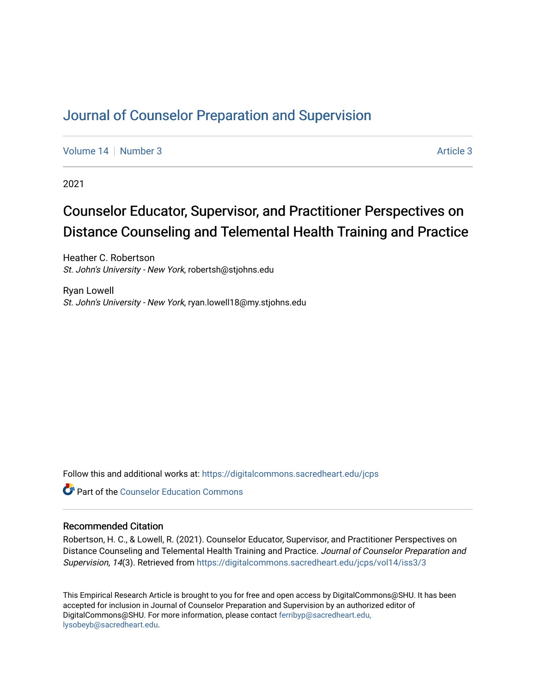# [Journal of Counselor Preparation and Supervision](https://digitalcommons.sacredheart.edu/jcps)

[Volume 14](https://digitalcommons.sacredheart.edu/jcps/vol14) | [Number 3](https://digitalcommons.sacredheart.edu/jcps/vol14/iss3) [Article 3](https://digitalcommons.sacredheart.edu/jcps/vol14/iss3/3) Article 3

2021

# Counselor Educator, Supervisor, and Practitioner Perspectives on Distance Counseling and Telemental Health Training and Practice

Heather C. Robertson St. John's University - New York, robertsh@stjohns.edu

Ryan Lowell St. John's University - New York, ryan.lowell18@my.stjohns.edu

Follow this and additional works at: [https://digitalcommons.sacredheart.edu/jcps](https://digitalcommons.sacredheart.edu/jcps?utm_source=digitalcommons.sacredheart.edu%2Fjcps%2Fvol14%2Fiss3%2F3&utm_medium=PDF&utm_campaign=PDFCoverPages) 

**C** Part of the Counselor Education Commons

#### Recommended Citation

Robertson, H. C., & Lowell, R. (2021). Counselor Educator, Supervisor, and Practitioner Perspectives on Distance Counseling and Telemental Health Training and Practice. Journal of Counselor Preparation and Supervision, 14(3). Retrieved from [https://digitalcommons.sacredheart.edu/jcps/vol14/iss3/3](https://digitalcommons.sacredheart.edu/jcps/vol14/iss3/3?utm_source=digitalcommons.sacredheart.edu%2Fjcps%2Fvol14%2Fiss3%2F3&utm_medium=PDF&utm_campaign=PDFCoverPages)

This Empirical Research Article is brought to you for free and open access by DigitalCommons@SHU. It has been accepted for inclusion in Journal of Counselor Preparation and Supervision by an authorized editor of DigitalCommons@SHU. For more information, please contact [ferribyp@sacredheart.edu,](mailto:ferribyp@sacredheart.edu,%20lysobeyb@sacredheart.edu) [lysobeyb@sacredheart.edu](mailto:ferribyp@sacredheart.edu,%20lysobeyb@sacredheart.edu).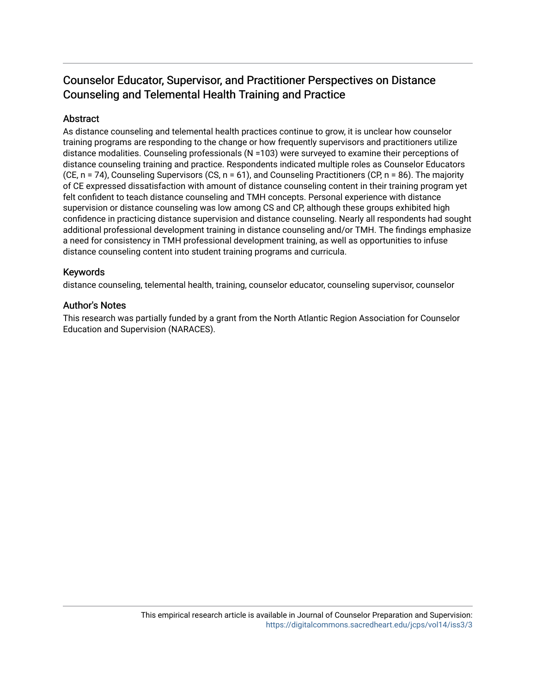# Counselor Educator, Supervisor, and Practitioner Perspectives on Distance Counseling and Telemental Health Training and Practice

### Abstract

As distance counseling and telemental health practices continue to grow, it is unclear how counselor training programs are responding to the change or how frequently supervisors and practitioners utilize distance modalities. Counseling professionals (N =103) were surveyed to examine their perceptions of distance counseling training and practice. Respondents indicated multiple roles as Counselor Educators (CE, n = 74), Counseling Supervisors (CS, n = 61), and Counseling Practitioners (CP, n = 86). The majority of CE expressed dissatisfaction with amount of distance counseling content in their training program yet felt confident to teach distance counseling and TMH concepts. Personal experience with distance supervision or distance counseling was low among CS and CP, although these groups exhibited high confidence in practicing distance supervision and distance counseling. Nearly all respondents had sought additional professional development training in distance counseling and/or TMH. The findings emphasize a need for consistency in TMH professional development training, as well as opportunities to infuse distance counseling content into student training programs and curricula.

### Keywords

distance counseling, telemental health, training, counselor educator, counseling supervisor, counselor

### Author's Notes

This research was partially funded by a grant from the North Atlantic Region Association for Counselor Education and Supervision (NARACES).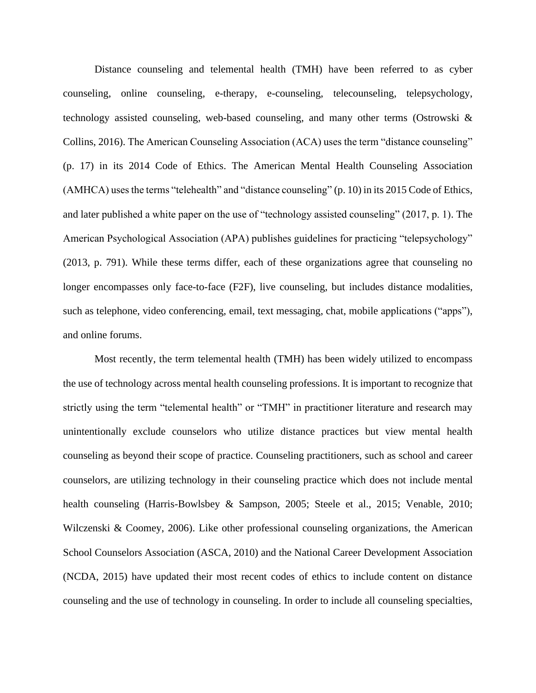Distance counseling and telemental health (TMH) have been referred to as cyber counseling, online counseling, e-therapy, e-counseling, telecounseling, telepsychology, technology assisted counseling, web-based counseling, and many other terms (Ostrowski & Collins, 2016). The American Counseling Association (ACA) uses the term "distance counseling" (p. 17) in its 2014 Code of Ethics. The American Mental Health Counseling Association (AMHCA) uses the terms "telehealth" and "distance counseling" (p. 10) in its 2015 Code of Ethics, and later published a white paper on the use of "technology assisted counseling" (2017, p. 1). The American Psychological Association (APA) publishes guidelines for practicing "telepsychology" (2013, p. 791). While these terms differ, each of these organizations agree that counseling no longer encompasses only face-to-face (F2F), live counseling, but includes distance modalities, such as telephone, video conferencing, email, text messaging, chat, mobile applications ("apps"), and online forums.

Most recently, the term telemental health (TMH) has been widely utilized to encompass the use of technology across mental health counseling professions. It is important to recognize that strictly using the term "telemental health" or "TMH" in practitioner literature and research may unintentionally exclude counselors who utilize distance practices but view mental health counseling as beyond their scope of practice. Counseling practitioners, such as school and career counselors, are utilizing technology in their counseling practice which does not include mental health counseling (Harris-Bowlsbey & Sampson, 2005; Steele et al., 2015; Venable, 2010; Wilczenski & Coomey, 2006). Like other professional counseling organizations, the American School Counselors Association (ASCA, 2010) and the National Career Development Association (NCDA, 2015) have updated their most recent codes of ethics to include content on distance counseling and the use of technology in counseling. In order to include all counseling specialties,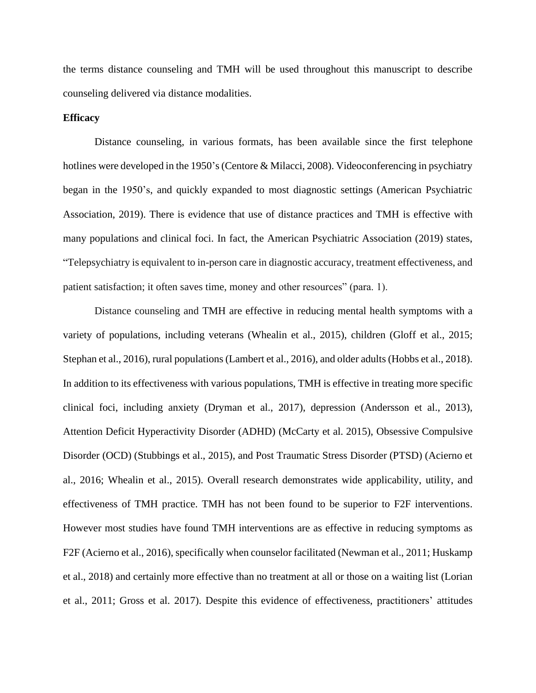the terms distance counseling and TMH will be used throughout this manuscript to describe counseling delivered via distance modalities.

#### **Efficacy**

Distance counseling, in various formats, has been available since the first telephone hotlines were developed in the 1950's (Centore & Milacci, 2008). Videoconferencing in psychiatry began in the 1950's, and quickly expanded to most diagnostic settings (American Psychiatric Association, 2019). There is evidence that use of distance practices and TMH is effective with many populations and clinical foci. In fact, the American Psychiatric Association (2019) states, "Telepsychiatry is equivalent to in-person care in diagnostic accuracy, treatment effectiveness, and patient satisfaction; it often saves time, money and other resources" (para. 1).

Distance counseling and TMH are effective in reducing mental health symptoms with a variety of populations, including veterans (Whealin et al., 2015), children (Gloff et al., 2015; Stephan et al., 2016), rural populations(Lambert et al., 2016), and older adults (Hobbs et al., 2018). In addition to its effectiveness with various populations, TMH is effective in treating more specific clinical foci, including anxiety (Dryman et al., 2017), depression (Andersson et al., 2013), Attention Deficit Hyperactivity Disorder (ADHD) (McCarty et al. 2015), Obsessive Compulsive Disorder (OCD) (Stubbings et al., 2015), and Post Traumatic Stress Disorder (PTSD) (Acierno et al., 2016; Whealin et al., 2015). Overall research demonstrates wide applicability, utility, and effectiveness of TMH practice. TMH has not been found to be superior to F2F interventions. However most studies have found TMH interventions are as effective in reducing symptoms as F2F (Acierno et al., 2016), specifically when counselor facilitated (Newman et al., 2011; Huskamp et al., 2018) and certainly more effective than no treatment at all or those on a waiting list (Lorian et al., 2011; Gross et al. 2017). Despite this evidence of effectiveness, practitioners' attitudes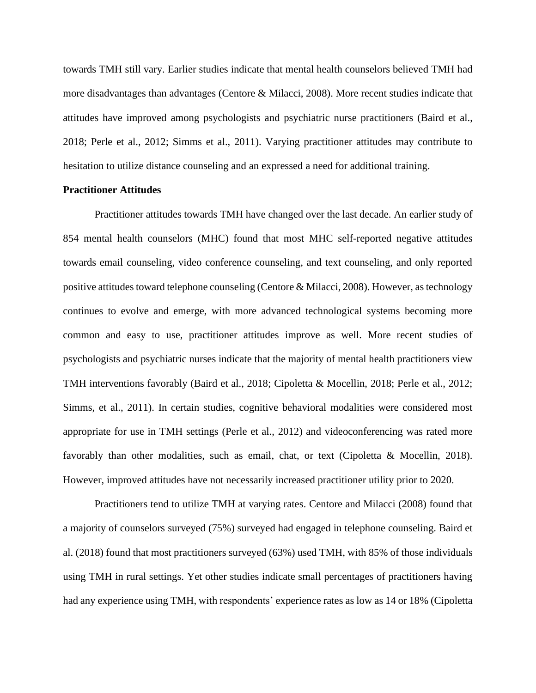towards TMH still vary. Earlier studies indicate that mental health counselors believed TMH had more disadvantages than advantages (Centore & Milacci, 2008). More recent studies indicate that attitudes have improved among psychologists and psychiatric nurse practitioners (Baird et al., 2018; Perle et al., 2012; Simms et al., 2011). Varying practitioner attitudes may contribute to hesitation to utilize distance counseling and an expressed a need for additional training.

#### **Practitioner Attitudes**

Practitioner attitudes towards TMH have changed over the last decade. An earlier study of 854 mental health counselors (MHC) found that most MHC self-reported negative attitudes towards email counseling, video conference counseling, and text counseling, and only reported positive attitudes toward telephone counseling (Centore & Milacci, 2008). However, as technology continues to evolve and emerge, with more advanced technological systems becoming more common and easy to use, practitioner attitudes improve as well. More recent studies of psychologists and psychiatric nurses indicate that the majority of mental health practitioners view TMH interventions favorably (Baird et al., 2018; Cipoletta & Mocellin, 2018; Perle et al., 2012; Simms, et al., 2011). In certain studies, cognitive behavioral modalities were considered most appropriate for use in TMH settings (Perle et al., 2012) and videoconferencing was rated more favorably than other modalities, such as email, chat, or text (Cipoletta & Mocellin, 2018). However, improved attitudes have not necessarily increased practitioner utility prior to 2020.

Practitioners tend to utilize TMH at varying rates. Centore and Milacci (2008) found that a majority of counselors surveyed (75%) surveyed had engaged in telephone counseling. Baird et al. (2018) found that most practitioners surveyed (63%) used TMH, with 85% of those individuals using TMH in rural settings. Yet other studies indicate small percentages of practitioners having had any experience using TMH, with respondents' experience rates as low as 14 or 18% (Cipoletta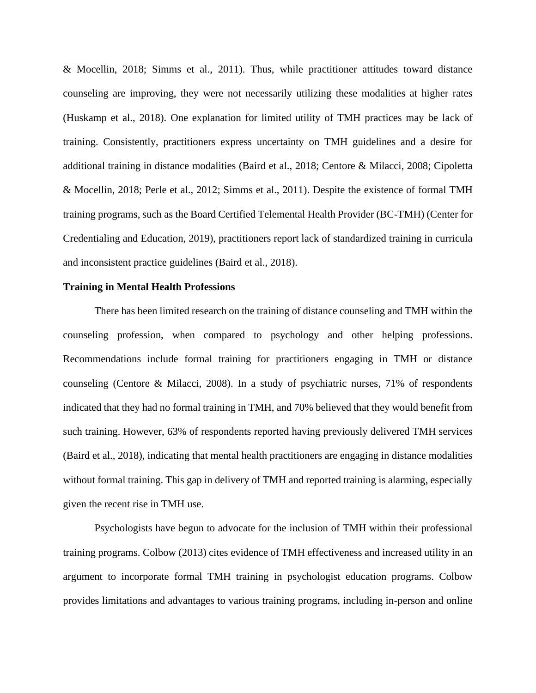& Mocellin, 2018; Simms et al., 2011). Thus, while practitioner attitudes toward distance counseling are improving, they were not necessarily utilizing these modalities at higher rates (Huskamp et al., 2018). One explanation for limited utility of TMH practices may be lack of training. Consistently, practitioners express uncertainty on TMH guidelines and a desire for additional training in distance modalities (Baird et al., 2018; Centore & Milacci, 2008; Cipoletta & Mocellin, 2018; Perle et al., 2012; Simms et al., 2011). Despite the existence of formal TMH training programs, such as the Board Certified Telemental Health Provider (BC-TMH) (Center for Credentialing and Education, 2019), practitioners report lack of standardized training in curricula and inconsistent practice guidelines (Baird et al., 2018).

#### **Training in Mental Health Professions**

There has been limited research on the training of distance counseling and TMH within the counseling profession, when compared to psychology and other helping professions. Recommendations include formal training for practitioners engaging in TMH or distance counseling (Centore & Milacci, 2008). In a study of psychiatric nurses, 71% of respondents indicated that they had no formal training in TMH, and 70% believed that they would benefit from such training. However, 63% of respondents reported having previously delivered TMH services (Baird et al., 2018), indicating that mental health practitioners are engaging in distance modalities without formal training. This gap in delivery of TMH and reported training is alarming, especially given the recent rise in TMH use.

Psychologists have begun to advocate for the inclusion of TMH within their professional training programs. Colbow (2013) cites evidence of TMH effectiveness and increased utility in an argument to incorporate formal TMH training in psychologist education programs. Colbow provides limitations and advantages to various training programs, including in-person and online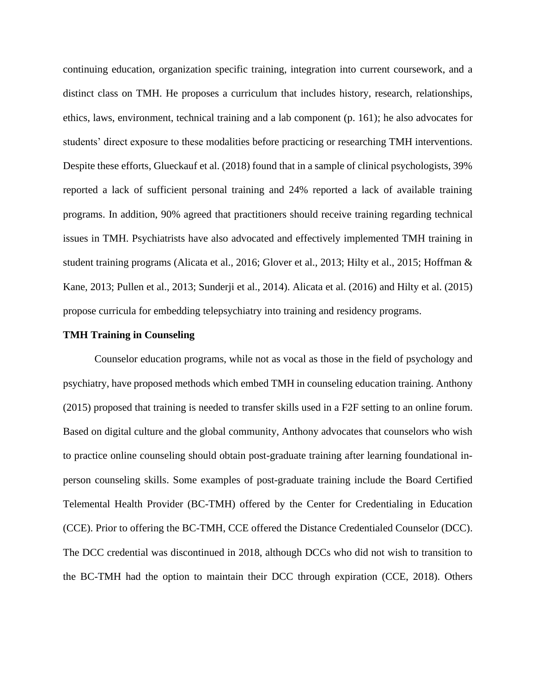continuing education, organization specific training, integration into current coursework, and a distinct class on TMH. He proposes a curriculum that includes history, research, relationships, ethics, laws, environment, technical training and a lab component (p. 161); he also advocates for students' direct exposure to these modalities before practicing or researching TMH interventions. Despite these efforts, Glueckauf et al. (2018) found that in a sample of clinical psychologists, 39% reported a lack of sufficient personal training and 24% reported a lack of available training programs. In addition, 90% agreed that practitioners should receive training regarding technical issues in TMH. Psychiatrists have also advocated and effectively implemented TMH training in student training programs (Alicata et al., 2016; Glover et al., 2013; Hilty et al., 2015; Hoffman & Kane, 2013; Pullen et al., 2013; Sunderji et al., 2014). Alicata et al. (2016) and Hilty et al. (2015) propose curricula for embedding telepsychiatry into training and residency programs.

#### **TMH Training in Counseling**

Counselor education programs, while not as vocal as those in the field of psychology and psychiatry, have proposed methods which embed TMH in counseling education training. Anthony (2015) proposed that training is needed to transfer skills used in a F2F setting to an online forum. Based on digital culture and the global community, Anthony advocates that counselors who wish to practice online counseling should obtain post-graduate training after learning foundational inperson counseling skills. Some examples of post-graduate training include the Board Certified Telemental Health Provider (BC-TMH) offered by the Center for Credentialing in Education (CCE). Prior to offering the BC-TMH, CCE offered the Distance Credentialed Counselor (DCC). The DCC credential was discontinued in 2018, although DCCs who did not wish to transition to the BC-TMH had the option to maintain their DCC through expiration (CCE, 2018). Others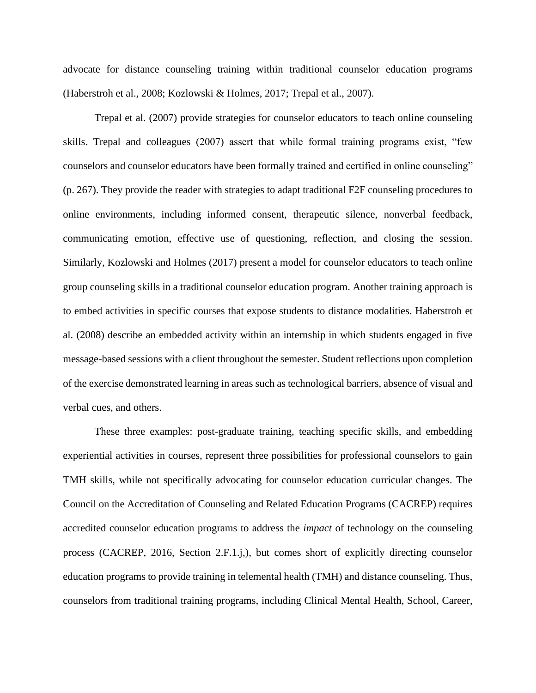advocate for distance counseling training within traditional counselor education programs (Haberstroh et al., 2008; Kozlowski & Holmes, 2017; Trepal et al., 2007).

Trepal et al. (2007) provide strategies for counselor educators to teach online counseling skills. Trepal and colleagues (2007) assert that while formal training programs exist, "few counselors and counselor educators have been formally trained and certified in online counseling" (p. 267). They provide the reader with strategies to adapt traditional F2F counseling procedures to online environments, including informed consent, therapeutic silence, nonverbal feedback, communicating emotion, effective use of questioning, reflection, and closing the session. Similarly, Kozlowski and Holmes (2017) present a model for counselor educators to teach online group counseling skills in a traditional counselor education program. Another training approach is to embed activities in specific courses that expose students to distance modalities. Haberstroh et al. (2008) describe an embedded activity within an internship in which students engaged in five message-based sessions with a client throughout the semester. Student reflections upon completion of the exercise demonstrated learning in areas such as technological barriers, absence of visual and verbal cues, and others.

These three examples: post-graduate training, teaching specific skills, and embedding experiential activities in courses, represent three possibilities for professional counselors to gain TMH skills, while not specifically advocating for counselor education curricular changes. The Council on the Accreditation of Counseling and Related Education Programs (CACREP) requires accredited counselor education programs to address the *impact* of technology on the counseling process (CACREP, 2016, Section 2.F.1.j,), but comes short of explicitly directing counselor education programs to provide training in telemental health (TMH) and distance counseling. Thus, counselors from traditional training programs, including Clinical Mental Health, School, Career,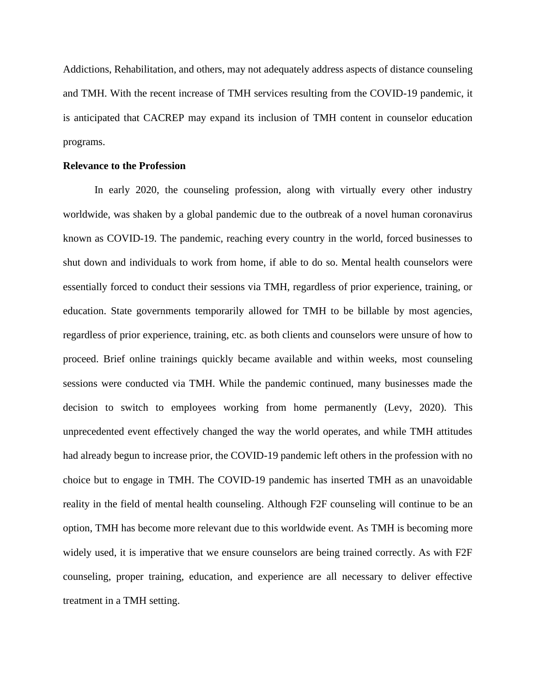Addictions, Rehabilitation, and others, may not adequately address aspects of distance counseling and TMH. With the recent increase of TMH services resulting from the COVID-19 pandemic, it is anticipated that CACREP may expand its inclusion of TMH content in counselor education programs.

#### **Relevance to the Profession**

In early 2020, the counseling profession, along with virtually every other industry worldwide, was shaken by a global pandemic due to the outbreak of a novel human coronavirus known as COVID-19. The pandemic, reaching every country in the world, forced businesses to shut down and individuals to work from home, if able to do so. Mental health counselors were essentially forced to conduct their sessions via TMH, regardless of prior experience, training, or education. State governments temporarily allowed for TMH to be billable by most agencies, regardless of prior experience, training, etc. as both clients and counselors were unsure of how to proceed. Brief online trainings quickly became available and within weeks, most counseling sessions were conducted via TMH. While the pandemic continued, many businesses made the decision to switch to employees working from home permanently (Levy, 2020). This unprecedented event effectively changed the way the world operates, and while TMH attitudes had already begun to increase prior, the COVID-19 pandemic left others in the profession with no choice but to engage in TMH. The COVID-19 pandemic has inserted TMH as an unavoidable reality in the field of mental health counseling. Although F2F counseling will continue to be an option, TMH has become more relevant due to this worldwide event. As TMH is becoming more widely used, it is imperative that we ensure counselors are being trained correctly. As with F2F counseling, proper training, education, and experience are all necessary to deliver effective treatment in a TMH setting.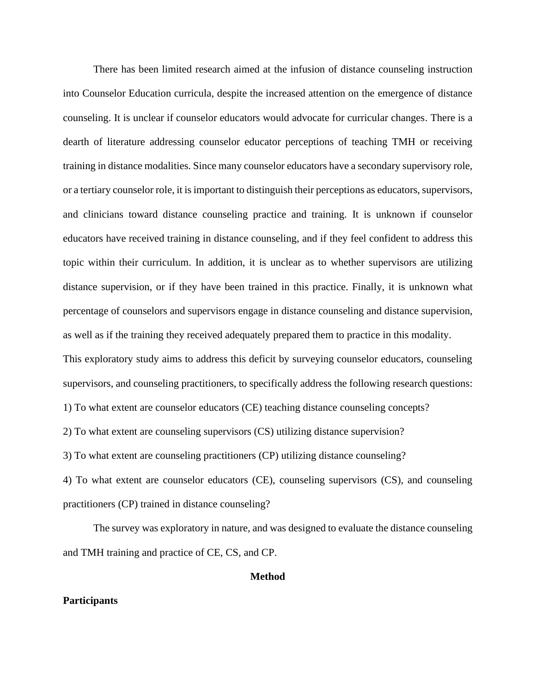There has been limited research aimed at the infusion of distance counseling instruction into Counselor Education curricula, despite the increased attention on the emergence of distance counseling. It is unclear if counselor educators would advocate for curricular changes. There is a dearth of literature addressing counselor educator perceptions of teaching TMH or receiving training in distance modalities. Since many counselor educators have a secondary supervisory role, or a tertiary counselor role, it is important to distinguish their perceptions as educators, supervisors, and clinicians toward distance counseling practice and training. It is unknown if counselor educators have received training in distance counseling, and if they feel confident to address this topic within their curriculum. In addition, it is unclear as to whether supervisors are utilizing distance supervision, or if they have been trained in this practice. Finally, it is unknown what percentage of counselors and supervisors engage in distance counseling and distance supervision, as well as if the training they received adequately prepared them to practice in this modality. This exploratory study aims to address this deficit by surveying counselor educators, counseling supervisors, and counseling practitioners, to specifically address the following research questions: 1) To what extent are counselor educators (CE) teaching distance counseling concepts? 2) To what extent are counseling supervisors (CS) utilizing distance supervision? 3) To what extent are counseling practitioners (CP) utilizing distance counseling? 4) To what extent are counselor educators (CE), counseling supervisors (CS), and counseling

practitioners (CP) trained in distance counseling?

The survey was exploratory in nature, and was designed to evaluate the distance counseling and TMH training and practice of CE, CS, and CP.

### **Method**

#### **Participants**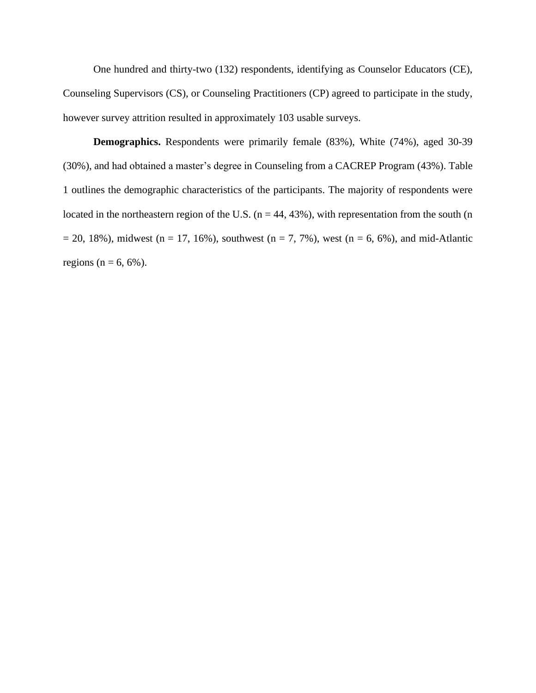One hundred and thirty-two (132) respondents, identifying as Counselor Educators (CE), Counseling Supervisors (CS), or Counseling Practitioners (CP) agreed to participate in the study, however survey attrition resulted in approximately 103 usable surveys.

**Demographics.** Respondents were primarily female (83%), White (74%), aged 30-39 (30%), and had obtained a master's degree in Counseling from a CACREP Program (43%). Table 1 outlines the demographic characteristics of the participants. The majority of respondents were located in the northeastern region of the U.S. ( $n = 44, 43\%$ ), with representation from the south (n  $= 20, 18\%$ ), midwest (n = 17, 16%), southwest (n = 7, 7%), west (n = 6, 6%), and mid-Atlantic regions ( $n = 6, 6\%$ ).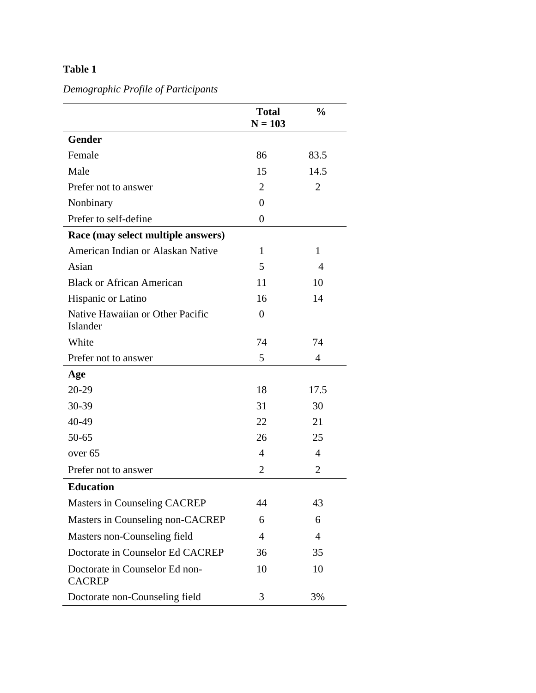# **Table 1**

*Demographic Profile of Participants*

|                                                 | <b>Total</b><br>$N = 103$ | $\frac{0}{0}$  |
|-------------------------------------------------|---------------------------|----------------|
| <b>Gender</b>                                   |                           |                |
| Female                                          | 86                        | 83.5           |
| Male                                            | 15                        | 14.5           |
| Prefer not to answer                            | $\overline{2}$            | $\overline{2}$ |
| Nonbinary                                       | $\Omega$                  |                |
| Prefer to self-define                           | 0                         |                |
| Race (may select multiple answers)              |                           |                |
| American Indian or Alaskan Native               | 1                         | $\mathbf{1}$   |
| Asian                                           | 5                         | $\overline{4}$ |
| <b>Black or African American</b>                | 11                        | 10             |
| Hispanic or Latino                              | 16                        | 14             |
| Native Hawaiian or Other Pacific<br>Islander    | $\Omega$                  |                |
| White                                           | 74                        | 74             |
| Prefer not to answer                            | 5                         | $\overline{4}$ |
| Age                                             |                           |                |
| 20-29                                           | 18                        | 17.5           |
| 30-39                                           | 31                        | 30             |
| 40-49                                           | 22                        | 21             |
| $50 - 65$                                       | 26                        | 25             |
| over <sub>65</sub>                              | $\overline{4}$            | $\overline{4}$ |
| Prefer not to answer                            | $\overline{2}$            | 2              |
| <b>Education</b>                                |                           |                |
| Masters in Counseling CACREP                    | 44                        | 43             |
| Masters in Counseling non-CACREP                | 6                         | 6              |
| Masters non-Counseling field                    | $\overline{4}$            | $\overline{4}$ |
| Doctorate in Counselor Ed CACREP                | 36                        | 35             |
| Doctorate in Counselor Ed non-<br><b>CACREP</b> | 10                        | 10             |
| Doctorate non-Counseling field                  | 3                         | 3%             |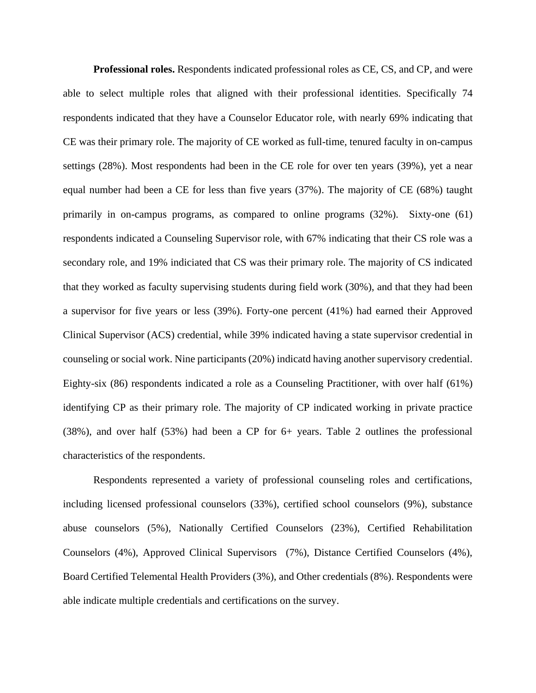**Professional roles.** Respondents indicated professional roles as CE, CS, and CP, and were able to select multiple roles that aligned with their professional identities. Specifically 74 respondents indicated that they have a Counselor Educator role, with nearly 69% indicating that CE was their primary role. The majority of CE worked as full-time, tenured faculty in on-campus settings (28%). Most respondents had been in the CE role for over ten years (39%), yet a near equal number had been a CE for less than five years (37%). The majority of CE (68%) taught primarily in on-campus programs, as compared to online programs (32%). Sixty-one (61) respondents indicated a Counseling Supervisor role, with 67% indicating that their CS role was a secondary role, and 19% indiciated that CS was their primary role. The majority of CS indicated that they worked as faculty supervising students during field work (30%), and that they had been a supervisor for five years or less (39%). Forty-one percent (41%) had earned their Approved Clinical Supervisor (ACS) credential, while 39% indicated having a state supervisor credential in counseling or social work. Nine participants (20%) indicatd having another supervisory credential. Eighty-six (86) respondents indicated a role as a Counseling Practitioner, with over half (61%) identifying CP as their primary role. The majority of CP indicated working in private practice (38%), and over half (53%) had been a CP for 6+ years. Table 2 outlines the professional characteristics of the respondents.

Respondents represented a variety of professional counseling roles and certifications, including licensed professional counselors (33%), certified school counselors (9%), substance abuse counselors (5%), Nationally Certified Counselors (23%), Certified Rehabilitation Counselors (4%), Approved Clinical Supervisors (7%), Distance Certified Counselors (4%), Board Certified Telemental Health Providers (3%), and Other credentials (8%). Respondents were able indicate multiple credentials and certifications on the survey.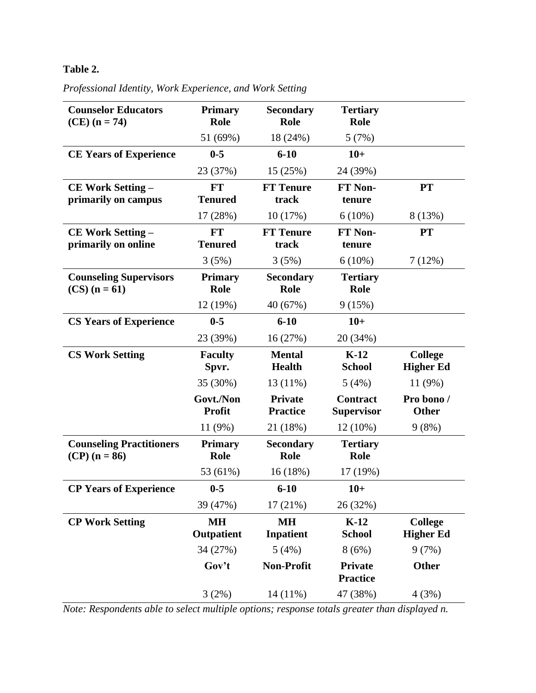## **Table 2.**

| <b>Counselor Educators</b><br>$(CE) (n = 74)$      | <b>Primary</b><br>Role     | <b>Secondary</b><br>Role          | <b>Tertiary</b><br>Role              |                                    |
|----------------------------------------------------|----------------------------|-----------------------------------|--------------------------------------|------------------------------------|
|                                                    | 51 (69%)                   | 18 (24%)                          | 5(7%)                                |                                    |
| <b>CE Years of Experience</b>                      | $0-5$                      | $6 - 10$                          | $10+$                                |                                    |
|                                                    | 23 (37%)                   | 15 (25%)                          | 24 (39%)                             |                                    |
| <b>CE Work Setting -</b>                           | <b>FT</b>                  | <b>FT</b> Tenure                  | <b>FT Non-</b>                       | <b>PT</b>                          |
| primarily on campus                                | <b>Tenured</b>             | track                             | tenure                               |                                    |
|                                                    | 17 (28%)                   | 10 (17%)                          | $6(10\%)$                            | 8 (13%)                            |
| <b>CE Work Setting -</b><br>primarily on online    | FT<br><b>Tenured</b>       | <b>FT</b> Tenure<br>track         | <b>FT Non-</b><br>tenure             | <b>PT</b>                          |
|                                                    | 3(5%)                      | 3(5%)                             | $6(10\%)$                            | 7(12%)                             |
| <b>Counseling Supervisors</b><br>$(CS)$ (n = 61)   | <b>Primary</b><br>Role     | <b>Secondary</b><br>Role          | <b>Tertiary</b><br>Role              |                                    |
|                                                    | 12 (19%)                   | 40 (67%)                          | 9(15%)                               |                                    |
| <b>CS Years of Experience</b>                      | $0 - 5$                    | $6 - 10$                          | $10+$                                |                                    |
|                                                    | 23 (39%)                   | 16 (27%)                          | 20 (34%)                             |                                    |
| <b>CS Work Setting</b>                             | <b>Faculty</b><br>Spvr.    | <b>Mental</b><br><b>Health</b>    | $K-12$<br><b>School</b>              | <b>College</b><br><b>Higher Ed</b> |
|                                                    | 35 (30%)                   | 13 (11%)                          | 5(4%)                                | 11(9%)                             |
|                                                    | Govt./Non<br><b>Profit</b> | <b>Private</b><br><b>Practice</b> | <b>Contract</b><br><b>Supervisor</b> | Pro bono /<br><b>Other</b>         |
|                                                    | 11(9%)                     | 21 (18%)                          | $12(10\%)$                           | 9(8%)                              |
| <b>Counseling Practitioners</b><br>$(CP)$ (n = 86) | <b>Primary</b><br>Role     | <b>Secondary</b><br>Role          | <b>Tertiary</b><br>Role              |                                    |
|                                                    | 53 (61%)                   | 16(18%)                           | 17 (19%)                             |                                    |
| <b>CP Years of Experience</b>                      | $0-5$                      | $6 - 10$                          | $10+$                                |                                    |
|                                                    | 39 (47%)                   | 17(21%)                           | 26 (32%)                             |                                    |
| <b>CP Work Setting</b>                             | <b>MH</b><br>Outpatient    | <b>MH</b><br><b>Inpatient</b>     | $K-12$<br><b>School</b>              | <b>College</b><br><b>Higher Ed</b> |
|                                                    | 34 (27%)                   | 5(4%)                             | 8(6%)                                | 9(7%)                              |
|                                                    | Gov't                      | <b>Non-Profit</b>                 | Private<br><b>Practice</b>           | <b>Other</b>                       |
|                                                    | 3(2%)                      | 14 (11%)                          | 47 (38%)                             | 4(3%)                              |

*Professional Identity, Work Experience, and Work Setting*

*Note: Respondents able to select multiple options; response totals greater than displayed n.*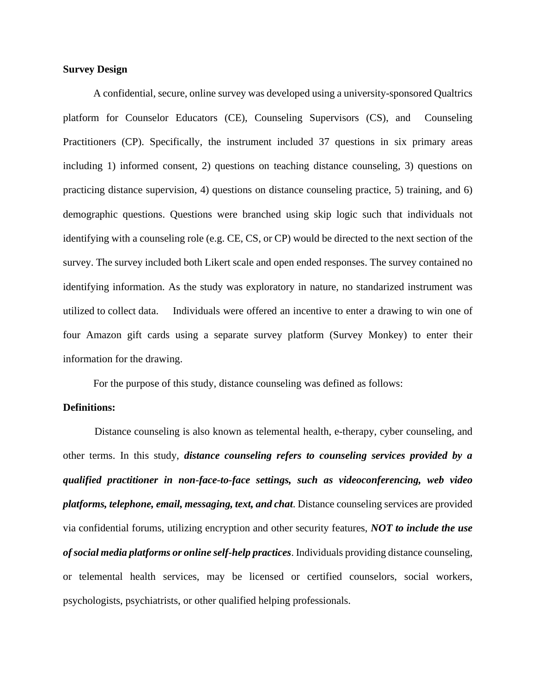#### **Survey Design**

A confidential, secure, online survey was developed using a university-sponsored Qualtrics platform for Counselor Educators (CE), Counseling Supervisors (CS), and Counseling Practitioners (CP). Specifically, the instrument included 37 questions in six primary areas including 1) informed consent, 2) questions on teaching distance counseling, 3) questions on practicing distance supervision, 4) questions on distance counseling practice, 5) training, and 6) demographic questions. Questions were branched using skip logic such that individuals not identifying with a counseling role (e.g. CE, CS, or CP) would be directed to the next section of the survey. The survey included both Likert scale and open ended responses. The survey contained no identifying information. As the study was exploratory in nature, no standarized instrument was utilized to collect data. Individuals were offered an incentive to enter a drawing to win one of four Amazon gift cards using a separate survey platform (Survey Monkey) to enter their information for the drawing.

For the purpose of this study, distance counseling was defined as follows:

#### **Definitions:**

Distance counseling is also known as telemental health, e-therapy, cyber counseling, and other terms. In this study, *distance counseling refers to counseling services provided by a qualified practitioner in non-face-to-face settings, such as videoconferencing, web video platforms, telephone, email, messaging, text, and chat*. Distance counseling services are provided via confidential forums, utilizing encryption and other security features, *NOT to include the use of social media platforms or online self-help practices*. Individuals providing distance counseling, or telemental health services, may be licensed or certified counselors, social workers, psychologists, psychiatrists, or other qualified helping professionals.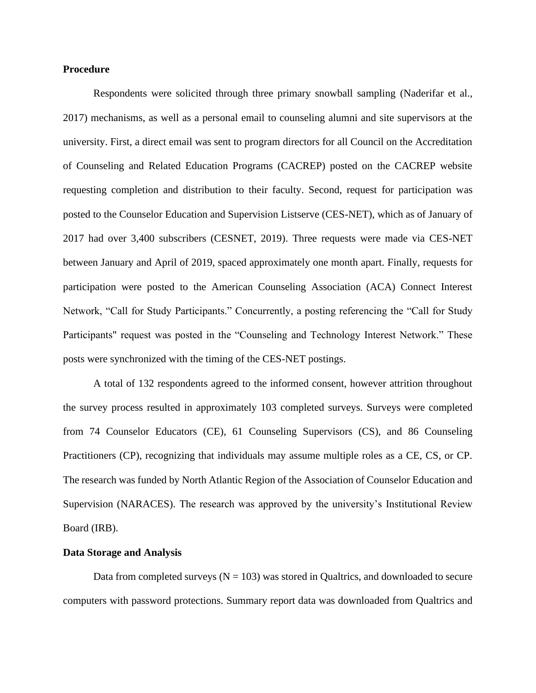#### **Procedure**

Respondents were solicited through three primary snowball sampling (Naderifar et al., 2017) mechanisms, as well as a personal email to counseling alumni and site supervisors at the university. First, a direct email was sent to program directors for all Council on the Accreditation of Counseling and Related Education Programs (CACREP) posted on the CACREP website requesting completion and distribution to their faculty. Second, request for participation was posted to the Counselor Education and Supervision Listserve (CES-NET), which as of January of 2017 had over 3,400 subscribers (CESNET, 2019). Three requests were made via CES-NET between January and April of 2019, spaced approximately one month apart. Finally, requests for participation were posted to the American Counseling Association (ACA) Connect Interest Network, "Call for Study Participants." Concurrently, a posting referencing the "Call for Study Participants" request was posted in the "Counseling and Technology Interest Network." These posts were synchronized with the timing of the CES-NET postings.

A total of 132 respondents agreed to the informed consent, however attrition throughout the survey process resulted in approximately 103 completed surveys. Surveys were completed from 74 Counselor Educators (CE), 61 Counseling Supervisors (CS), and 86 Counseling Practitioners (CP), recognizing that individuals may assume multiple roles as a CE, CS, or CP. The research was funded by North Atlantic Region of the Association of Counselor Education and Supervision (NARACES). The research was approved by the university's Institutional Review Board (IRB).

#### **Data Storage and Analysis**

Data from completed surveys ( $N = 103$ ) was stored in Qualtrics, and downloaded to secure computers with password protections. Summary report data was downloaded from Qualtrics and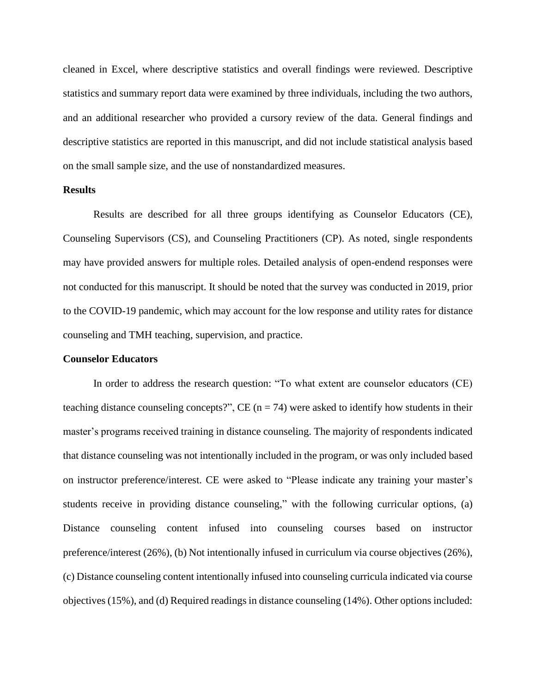cleaned in Excel, where descriptive statistics and overall findings were reviewed. Descriptive statistics and summary report data were examined by three individuals, including the two authors, and an additional researcher who provided a cursory review of the data. General findings and descriptive statistics are reported in this manuscript, and did not include statistical analysis based on the small sample size, and the use of nonstandardized measures.

#### **Results**

Results are described for all three groups identifying as Counselor Educators (CE), Counseling Supervisors (CS), and Counseling Practitioners (CP). As noted, single respondents may have provided answers for multiple roles. Detailed analysis of open-endend responses were not conducted for this manuscript. It should be noted that the survey was conducted in 2019, prior to the COVID-19 pandemic, which may account for the low response and utility rates for distance counseling and TMH teaching, supervision, and practice.

#### **Counselor Educators**

In order to address the research question: "To what extent are counselor educators (CE) teaching distance counseling concepts?",  $CE (n = 74)$  were asked to identify how students in their master's programs received training in distance counseling. The majority of respondents indicated that distance counseling was not intentionally included in the program, or was only included based on instructor preference/interest. CE were asked to "Please indicate any training your master's students receive in providing distance counseling," with the following curricular options, (a) Distance counseling content infused into counseling courses based on instructor preference/interest (26%), (b) Not intentionally infused in curriculum via course objectives (26%), (c) Distance counseling content intentionally infused into counseling curricula indicated via course objectives (15%), and (d) Required readings in distance counseling (14%). Other options included: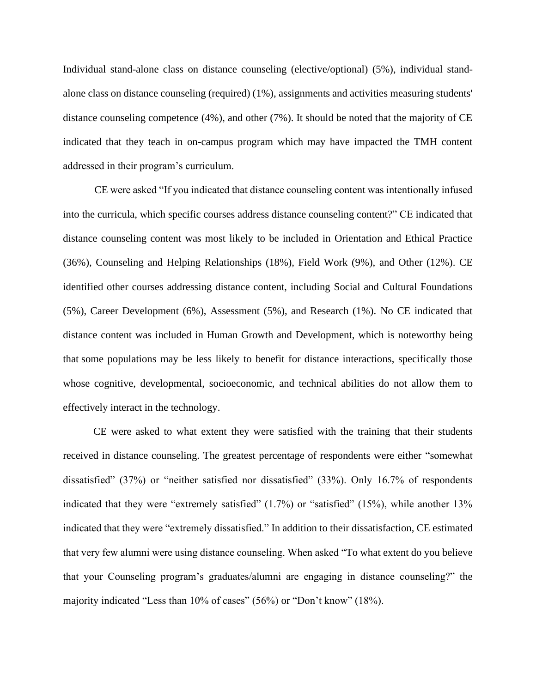Individual stand-alone class on distance counseling (elective/optional) (5%), individual standalone class on distance counseling (required) (1%), assignments and activities measuring students' distance counseling competence (4%), and other (7%). It should be noted that the majority of CE indicated that they teach in on-campus program which may have impacted the TMH content addressed in their program's curriculum.

CE were asked "If you indicated that distance counseling content was intentionally infused into the curricula, which specific courses address distance counseling content?" CE indicated that distance counseling content was most likely to be included in Orientation and Ethical Practice (36%), Counseling and Helping Relationships (18%), Field Work (9%), and Other (12%). CE identified other courses addressing distance content, including Social and Cultural Foundations (5%), Career Development (6%), Assessment (5%), and Research (1%). No CE indicated that distance content was included in Human Growth and Development, which is noteworthy being that some populations may be less likely to benefit for distance interactions, specifically those whose cognitive, developmental, socioeconomic, and technical abilities do not allow them to effectively interact in the technology.

CE were asked to what extent they were satisfied with the training that their students received in distance counseling. The greatest percentage of respondents were either "somewhat dissatisfied" (37%) or "neither satisfied nor dissatisfied" (33%). Only 16.7% of respondents indicated that they were "extremely satisfied" (1.7%) or "satisfied" (15%), while another 13% indicated that they were "extremely dissatisfied." In addition to their dissatisfaction, CE estimated that very few alumni were using distance counseling. When asked "To what extent do you believe that your Counseling program's graduates/alumni are engaging in distance counseling?" the majority indicated "Less than 10% of cases" (56%) or "Don't know" (18%).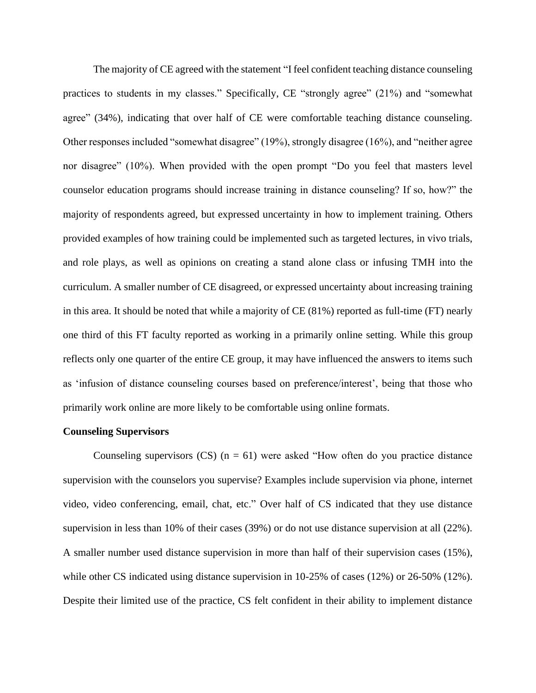The majority of CE agreed with the statement "I feel confident teaching distance counseling practices to students in my classes." Specifically, CE "strongly agree" (21%) and "somewhat agree" (34%), indicating that over half of CE were comfortable teaching distance counseling. Other responses included "somewhat disagree" (19%), strongly disagree (16%), and "neither agree nor disagree" (10%). When provided with the open prompt "Do you feel that masters level counselor education programs should increase training in distance counseling? If so, how?" the majority of respondents agreed, but expressed uncertainty in how to implement training. Others provided examples of how training could be implemented such as targeted lectures, in vivo trials, and role plays, as well as opinions on creating a stand alone class or infusing TMH into the curriculum. A smaller number of CE disagreed, or expressed uncertainty about increasing training in this area. It should be noted that while a majority of CE (81%) reported as full-time (FT) nearly one third of this FT faculty reported as working in a primarily online setting. While this group reflects only one quarter of the entire CE group, it may have influenced the answers to items such as 'infusion of distance counseling courses based on preference/interest', being that those who primarily work online are more likely to be comfortable using online formats.

#### **Counseling Supervisors**

Counseling supervisors  $(CS)$  (n = 61) were asked "How often do you practice distance supervision with the counselors you supervise? Examples include supervision via phone, internet video, video conferencing, email, chat, etc." Over half of CS indicated that they use distance supervision in less than 10% of their cases (39%) or do not use distance supervision at all (22%). A smaller number used distance supervision in more than half of their supervision cases (15%), while other CS indicated using distance supervision in 10-25% of cases (12%) or 26-50% (12%). Despite their limited use of the practice, CS felt confident in their ability to implement distance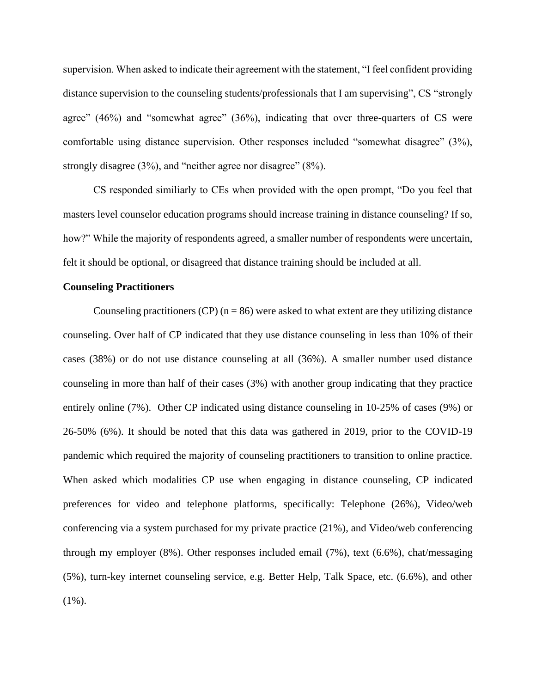supervision. When asked to indicate their agreement with the statement, "I feel confident providing distance supervision to the counseling students/professionals that I am supervising", CS "strongly agree" (46%) and "somewhat agree" (36%), indicating that over three-quarters of CS were comfortable using distance supervision. Other responses included "somewhat disagree" (3%), strongly disagree (3%), and "neither agree nor disagree" (8%).

CS responded similiarly to CEs when provided with the open prompt, "Do you feel that masters level counselor education programs should increase training in distance counseling? If so, how?" While the majority of respondents agreed, a smaller number of respondents were uncertain, felt it should be optional, or disagreed that distance training should be included at all.

#### **Counseling Practitioners**

Counseling practitioners (CP)  $(n = 86)$  were asked to what extent are they utilizing distance counseling. Over half of CP indicated that they use distance counseling in less than 10% of their cases (38%) or do not use distance counseling at all (36%). A smaller number used distance counseling in more than half of their cases (3%) with another group indicating that they practice entirely online (7%). Other CP indicated using distance counseling in 10-25% of cases (9%) or 26-50% (6%). It should be noted that this data was gathered in 2019, prior to the COVID-19 pandemic which required the majority of counseling practitioners to transition to online practice. When asked which modalities CP use when engaging in distance counseling, CP indicated preferences for video and telephone platforms, specifically: Telephone (26%), Video/web conferencing via a system purchased for my private practice (21%), and Video/web conferencing through my employer (8%). Other responses included email (7%), text (6.6%), chat/messaging (5%), turn-key internet counseling service, e.g. Better Help, Talk Space, etc. (6.6%), and other (1%).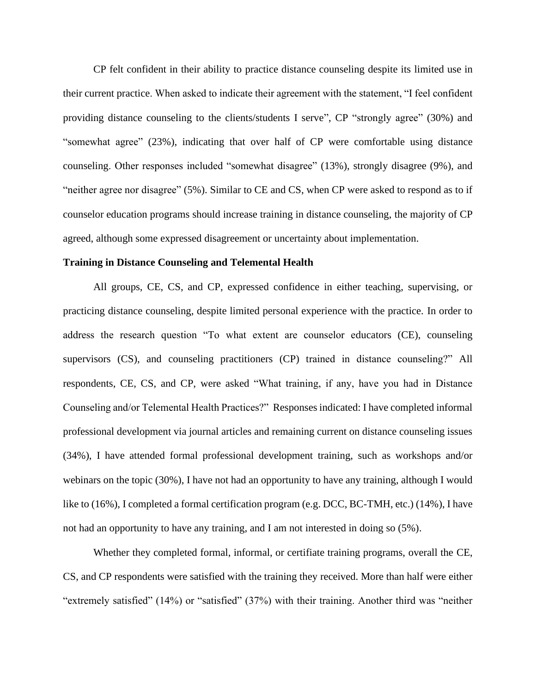CP felt confident in their ability to practice distance counseling despite its limited use in their current practice. When asked to indicate their agreement with the statement, "I feel confident providing distance counseling to the clients/students I serve", CP "strongly agree" (30%) and "somewhat agree" (23%), indicating that over half of CP were comfortable using distance counseling. Other responses included "somewhat disagree" (13%), strongly disagree (9%), and "neither agree nor disagree" (5%). Similar to CE and CS, when CP were asked to respond as to if counselor education programs should increase training in distance counseling, the majority of CP agreed, although some expressed disagreement or uncertainty about implementation.

#### **Training in Distance Counseling and Telemental Health**

All groups, CE, CS, and CP, expressed confidence in either teaching, supervising, or practicing distance counseling, despite limited personal experience with the practice. In order to address the research question "To what extent are counselor educators (CE), counseling supervisors (CS), and counseling practitioners (CP) trained in distance counseling?" All respondents, CE, CS, and CP, were asked "What training, if any, have you had in Distance Counseling and/or Telemental Health Practices?" Responses indicated: I have completed informal professional development via journal articles and remaining current on distance counseling issues (34%), I have attended formal professional development training, such as workshops and/or webinars on the topic (30%), I have not had an opportunity to have any training, although I would like to (16%), I completed a formal certification program (e.g. DCC, BC-TMH, etc.) (14%), I have not had an opportunity to have any training, and I am not interested in doing so (5%).

Whether they completed formal, informal, or certifiate training programs, overall the CE, CS, and CP respondents were satisfied with the training they received. More than half were either "extremely satisfied" (14%) or "satisfied" (37%) with their training. Another third was "neither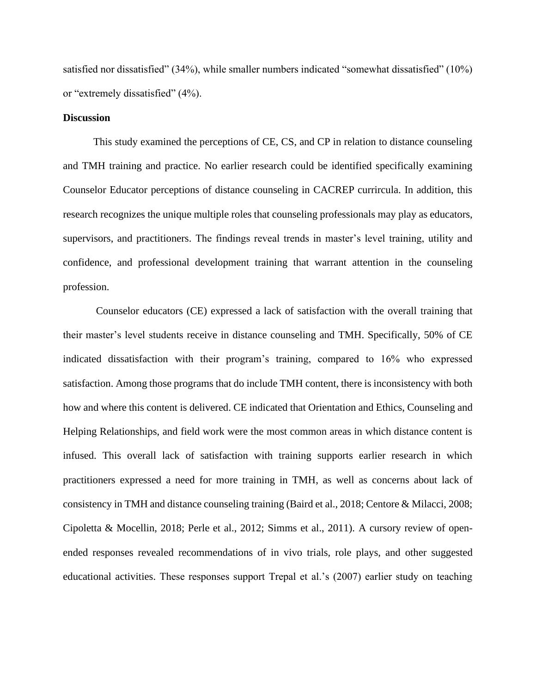satisfied nor dissatisfied" (34%), while smaller numbers indicated "somewhat dissatisfied" (10%) or "extremely dissatisfied" (4%).

#### **Discussion**

This study examined the perceptions of CE, CS, and CP in relation to distance counseling and TMH training and practice. No earlier research could be identified specifically examining Counselor Educator perceptions of distance counseling in CACREP currircula. In addition, this research recognizes the unique multiple roles that counseling professionals may play as educators, supervisors, and practitioners. The findings reveal trends in master's level training, utility and confidence, and professional development training that warrant attention in the counseling profession.

Counselor educators (CE) expressed a lack of satisfaction with the overall training that their master's level students receive in distance counseling and TMH. Specifically, 50% of CE indicated dissatisfaction with their program's training, compared to 16% who expressed satisfaction. Among those programs that do include TMH content, there is inconsistency with both how and where this content is delivered. CE indicated that Orientation and Ethics, Counseling and Helping Relationships, and field work were the most common areas in which distance content is infused. This overall lack of satisfaction with training supports earlier research in which practitioners expressed a need for more training in TMH, as well as concerns about lack of consistency in TMH and distance counseling training (Baird et al., 2018; Centore & Milacci, 2008; Cipoletta & Mocellin, 2018; Perle et al., 2012; Simms et al., 2011). A cursory review of openended responses revealed recommendations of in vivo trials, role plays, and other suggested educational activities. These responses support Trepal et al.'s (2007) earlier study on teaching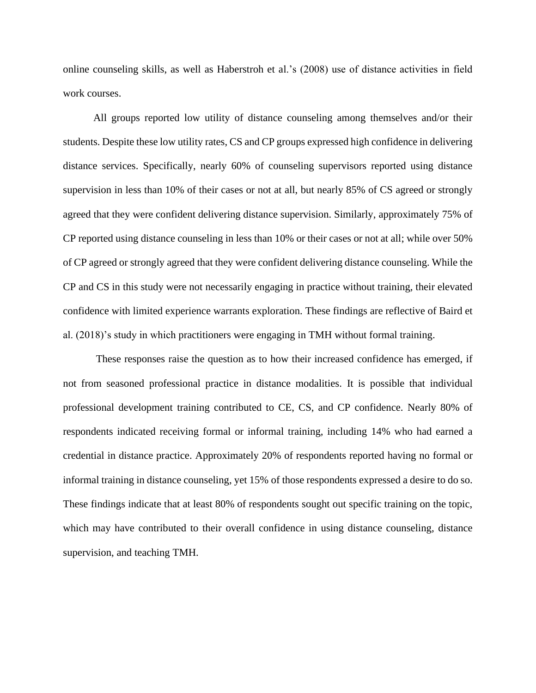online counseling skills, as well as Haberstroh et al.'s (2008) use of distance activities in field work courses.

All groups reported low utility of distance counseling among themselves and/or their students. Despite these low utility rates, CS and CP groups expressed high confidence in delivering distance services. Specifically, nearly 60% of counseling supervisors reported using distance supervision in less than 10% of their cases or not at all, but nearly 85% of CS agreed or strongly agreed that they were confident delivering distance supervision. Similarly, approximately 75% of CP reported using distance counseling in less than 10% or their cases or not at all; while over 50% of CP agreed or strongly agreed that they were confident delivering distance counseling. While the CP and CS in this study were not necessarily engaging in practice without training, their elevated confidence with limited experience warrants exploration. These findings are reflective of Baird et al. (2018)'s study in which practitioners were engaging in TMH without formal training.

These responses raise the question as to how their increased confidence has emerged, if not from seasoned professional practice in distance modalities. It is possible that individual professional development training contributed to CE, CS, and CP confidence. Nearly 80% of respondents indicated receiving formal or informal training, including 14% who had earned a credential in distance practice. Approximately 20% of respondents reported having no formal or informal training in distance counseling, yet 15% of those respondents expressed a desire to do so. These findings indicate that at least 80% of respondents sought out specific training on the topic, which may have contributed to their overall confidence in using distance counseling, distance supervision, and teaching TMH.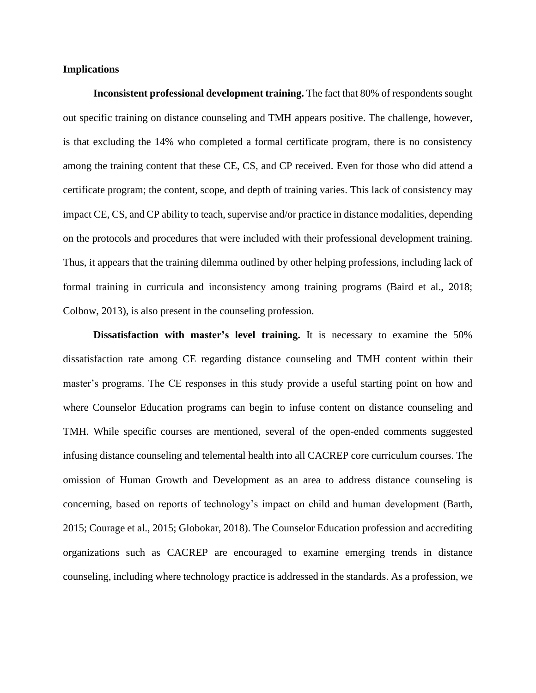#### **Implications**

**Inconsistent professional development training.** The fact that 80% of respondents sought out specific training on distance counseling and TMH appears positive. The challenge, however, is that excluding the 14% who completed a formal certificate program, there is no consistency among the training content that these CE, CS, and CP received. Even for those who did attend a certificate program; the content, scope, and depth of training varies. This lack of consistency may impact CE, CS, and CP ability to teach, supervise and/or practice in distance modalities, depending on the protocols and procedures that were included with their professional development training. Thus, it appears that the training dilemma outlined by other helping professions, including lack of formal training in curricula and inconsistency among training programs (Baird et al., 2018; Colbow, 2013), is also present in the counseling profession.

**Dissatisfaction with master's level training.** It is necessary to examine the 50% dissatisfaction rate among CE regarding distance counseling and TMH content within their master's programs. The CE responses in this study provide a useful starting point on how and where Counselor Education programs can begin to infuse content on distance counseling and TMH. While specific courses are mentioned, several of the open-ended comments suggested infusing distance counseling and telemental health into all CACREP core curriculum courses. The omission of Human Growth and Development as an area to address distance counseling is concerning, based on reports of technology's impact on child and human development (Barth, 2015; Courage et al., 2015; Globokar, 2018). The Counselor Education profession and accrediting organizations such as CACREP are encouraged to examine emerging trends in distance counseling, including where technology practice is addressed in the standards. As a profession, we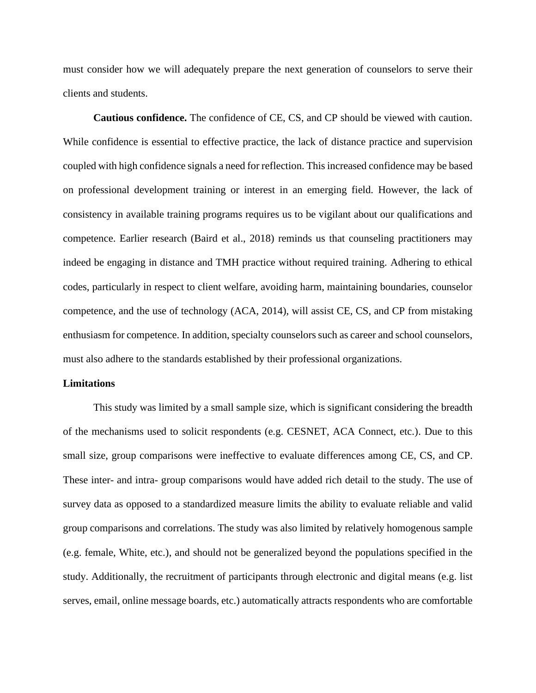must consider how we will adequately prepare the next generation of counselors to serve their clients and students.

**Cautious confidence.** The confidence of CE, CS, and CP should be viewed with caution. While confidence is essential to effective practice, the lack of distance practice and supervision coupled with high confidence signals a need for reflection. This increased confidence may be based on professional development training or interest in an emerging field. However, the lack of consistency in available training programs requires us to be vigilant about our qualifications and competence. Earlier research (Baird et al., 2018) reminds us that counseling practitioners may indeed be engaging in distance and TMH practice without required training. Adhering to ethical codes, particularly in respect to client welfare, avoiding harm, maintaining boundaries, counselor competence, and the use of technology (ACA, 2014), will assist CE, CS, and CP from mistaking enthusiasm for competence. In addition, specialty counselors such as career and school counselors, must also adhere to the standards established by their professional organizations.

#### **Limitations**

This study was limited by a small sample size, which is significant considering the breadth of the mechanisms used to solicit respondents (e.g. CESNET, ACA Connect, etc.). Due to this small size, group comparisons were ineffective to evaluate differences among CE, CS, and CP. These inter- and intra- group comparisons would have added rich detail to the study. The use of survey data as opposed to a standardized measure limits the ability to evaluate reliable and valid group comparisons and correlations. The study was also limited by relatively homogenous sample (e.g. female, White, etc.), and should not be generalized beyond the populations specified in the study. Additionally, the recruitment of participants through electronic and digital means (e.g. list serves, email, online message boards, etc.) automatically attracts respondents who are comfortable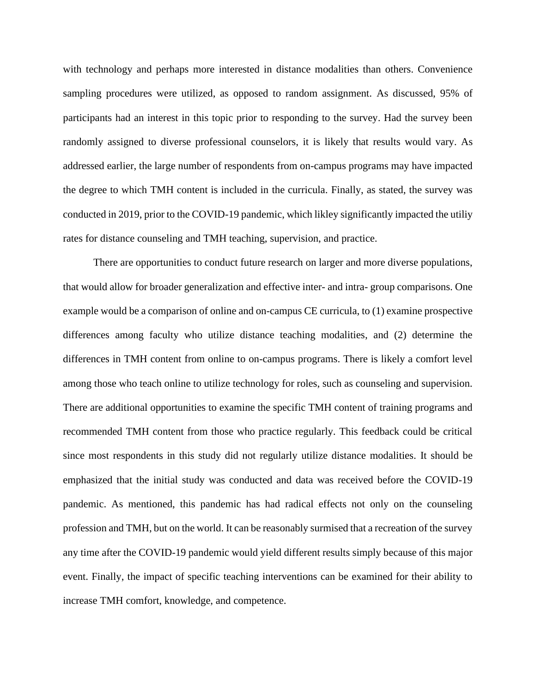with technology and perhaps more interested in distance modalities than others. Convenience sampling procedures were utilized, as opposed to random assignment. As discussed, 95% of participants had an interest in this topic prior to responding to the survey. Had the survey been randomly assigned to diverse professional counselors, it is likely that results would vary. As addressed earlier, the large number of respondents from on-campus programs may have impacted the degree to which TMH content is included in the curricula. Finally, as stated, the survey was conducted in 2019, prior to the COVID-19 pandemic, which likley significantly impacted the utiliy rates for distance counseling and TMH teaching, supervision, and practice.

There are opportunities to conduct future research on larger and more diverse populations, that would allow for broader generalization and effective inter- and intra- group comparisons. One example would be a comparison of online and on-campus CE curricula, to (1) examine prospective differences among faculty who utilize distance teaching modalities, and (2) determine the differences in TMH content from online to on-campus programs. There is likely a comfort level among those who teach online to utilize technology for roles, such as counseling and supervision. There are additional opportunities to examine the specific TMH content of training programs and recommended TMH content from those who practice regularly. This feedback could be critical since most respondents in this study did not regularly utilize distance modalities. It should be emphasized that the initial study was conducted and data was received before the COVID-19 pandemic. As mentioned, this pandemic has had radical effects not only on the counseling profession and TMH, but on the world. It can be reasonably surmised that a recreation of the survey any time after the COVID-19 pandemic would yield different results simply because of this major event. Finally, the impact of specific teaching interventions can be examined for their ability to increase TMH comfort, knowledge, and competence.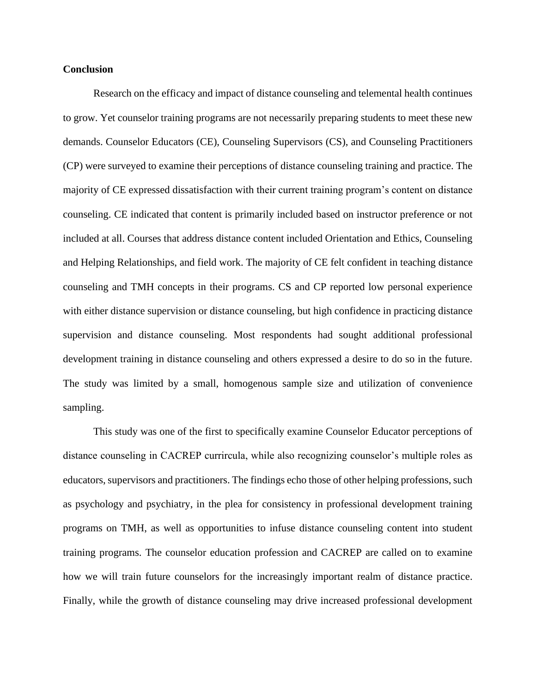#### **Conclusion**

Research on the efficacy and impact of distance counseling and telemental health continues to grow. Yet counselor training programs are not necessarily preparing students to meet these new demands. Counselor Educators (CE), Counseling Supervisors (CS), and Counseling Practitioners (CP) were surveyed to examine their perceptions of distance counseling training and practice. The majority of CE expressed dissatisfaction with their current training program's content on distance counseling. CE indicated that content is primarily included based on instructor preference or not included at all. Courses that address distance content included Orientation and Ethics, Counseling and Helping Relationships, and field work. The majority of CE felt confident in teaching distance counseling and TMH concepts in their programs. CS and CP reported low personal experience with either distance supervision or distance counseling, but high confidence in practicing distance supervision and distance counseling. Most respondents had sought additional professional development training in distance counseling and others expressed a desire to do so in the future. The study was limited by a small, homogenous sample size and utilization of convenience sampling.

This study was one of the first to specifically examine Counselor Educator perceptions of distance counseling in CACREP currircula, while also recognizing counselor's multiple roles as educators, supervisors and practitioners. The findings echo those of other helping professions, such as psychology and psychiatry, in the plea for consistency in professional development training programs on TMH, as well as opportunities to infuse distance counseling content into student training programs. The counselor education profession and CACREP are called on to examine how we will train future counselors for the increasingly important realm of distance practice. Finally, while the growth of distance counseling may drive increased professional development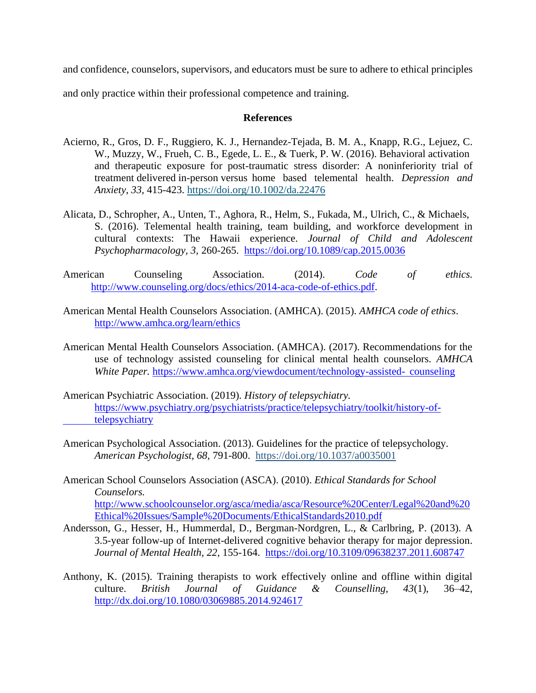and confidence, counselors, supervisors, and educators must be sure to adhere to ethical principles

and only practice within their professional competence and training.

#### **References**

- Acierno, R., Gros, D. F., Ruggiero, K. J., Hernandez-Tejada, B. M. A., Knapp, R.G., Lejuez, C. W., Muzzy, W., Frueh, C. B., Egede, L. E., & Tuerk, P. W. (2016). Behavioral activation and therapeutic exposure for post-traumatic stress disorder: A noninferiority trial of treatment delivered in-person versus home based telemental health. *Depression and Anxiety, 33,* 415-423.<https://doi.org/10.1002/da.22476>
- Alicata, D., Schropher, A., Unten, T., Aghora, R., Helm, S., Fukada, M., Ulrich, C., & Michaels, S. (2016). Telemental health training, team building, and workforce development in cultural contexts: The Hawaii experience. *Journal of Child and Adolescent Psychopharmacology, 3,* 260-265. <https://doi.org/10.1089/cap.2015.0036>
- American Counseling Association. (2014). *Code of ethics.* [http://www.counseling.org/docs/ethics/2014-aca-code-of-ethics.pdf.](http://www.counseling.org/docs/ethics/2014-aca-code-of-ethics.pdf)
- American Mental Health Counselors Association. (AMHCA). (2015). *AMHCA code of ethics*. <http://www.amhca.org/learn/ethics>
- American Mental Health Counselors Association. (AMHCA). (2017). Recommendations for the use of technology assisted counseling for clinical mental health counselors. *AMHCA White Paper.* [https://www.amhca.org/viewdocument/technology-assisted-](https://www.amhca.org/viewdocument/technology-assisted-%09counseling) counseling
- American Psychiatric Association. (2019). *History of telepsychiatry.* [https://www.psychiatry.org/psychiatrists/practice/telepsychiatry/toolkit/history-of](https://www.psychiatry.org/psychiatrists/practice/telepsychiatry/toolkit/history-of-%09telepsychiatry)[telepsychiatry](https://www.psychiatry.org/psychiatrists/practice/telepsychiatry/toolkit/history-of-%09telepsychiatry)
- American Psychological Association. (2013). Guidelines for the practice of telepsychology. *American Psychologist, 68,* 791-800. [https://doi.org/10.1037/a0035001](https://psycnet.apa.org/doi/10.1037/a0035001)
- American School Counselors Association (ASCA). (2010). *Ethical Standards for School Counselors.* [http://www.schoolcounselor.org/asca/media/asca/Resource%20Center/Legal%20and%20](http://www.schoolcounselor.org/asca/media/asca/Resource%20Center/Legal%20and%20Ethical%20Issues/Sample%20Documents/EthicalStandards2010.pdf) [Ethical%20Issues/Sample%20Documents/EthicalStandards2010.pdf](http://www.schoolcounselor.org/asca/media/asca/Resource%20Center/Legal%20and%20Ethical%20Issues/Sample%20Documents/EthicalStandards2010.pdf)
- Andersson, G., Hesser, H., Hummerdal, D., Bergman-Nordgren, L., & Carlbring, P. (2013). A 3.5-year follow-up of Internet-delivered cognitive behavior therapy for major depression. *Journal of Mental Health, 22,* 155-164. <https://doi.org/10.3109/09638237.2011.608747>
- Anthony, K. (2015). Training therapists to work effectively online and offline within digital culture. *British Journal of Guidance & Counselling, 43*(1), 36–42, <http://dx.doi.org/10.1080/03069885.2014.924617>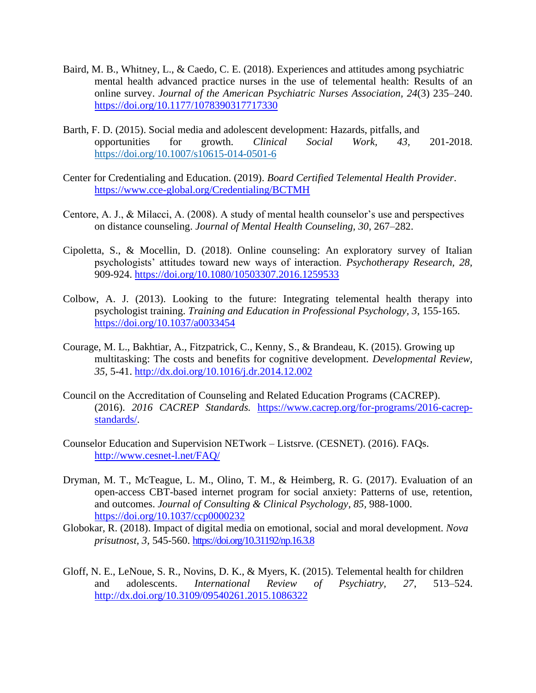- Baird, M. B., Whitney, L., & Caedo, C. E. (2018). Experiences and attitudes among psychiatric mental health advanced practice nurses in the use of telemental health: Results of an online survey. *Journal of the American Psychiatric Nurses Association, 24*(3) 235–240. <https://doi.org/10.1177/1078390317717330>
- Barth, F. D. (2015). Social media and adolescent development: Hazards, pitfalls, and opportunities for growth. *Clinical Social Work, 43,* 201-2018. <https://doi.org/10.1007/s10615-014-0501-6>
- Center for Credentialing and Education. (2019). *Board Certified Telemental Health Provider*. <https://www.cce-global.org/Credentialing/BCTMH>
- Centore, A. J., & Milacci, A. (2008). A study of mental health counselor's use and perspectives on distance counseling. *Journal of Mental Health Counseling, 30,* 267–282.
- Cipoletta, S., & Mocellin, D. (2018). Online counseling: An exploratory survey of Italian psychologists' attitudes toward new ways of interaction. *Psychotherapy Research, 28,*  909-924.<https://doi.org/10.1080/10503307.2016.1259533>
- Colbow, A. J. (2013). Looking to the future: Integrating telemental health therapy into psychologist training. *Training and Education in Professional Psychology, 3*, 155-165. <https://doi.org/10.1037/a0033454>
- Courage, M. L., Bakhtiar, A., Fitzpatrick, C., Kenny, S., & Brandeau, K. (2015). Growing up multitasking: The costs and benefits for cognitive development. *Developmental Review, 35,* 5-41.<http://dx.doi.org/10.1016/j.dr.2014.12.002>
- Council on the Accreditation of Counseling and Related Education Programs (CACREP). (2016). *2016 CACREP Standards.* [https://www.cacrep.org/for-programs/2016-cacrep](https://www.cacrep.org/for-programs/2016-cacrep-%20standards/)[standards/.](https://www.cacrep.org/for-programs/2016-cacrep-%20standards/)
- Counselor Education and Supervision NETwork Listsrve. (CESNET). (2016). FAQs. <http://www.cesnet-l.net/FAQ/>
- Dryman, M. T., McTeague, L. M., Olino, T. M., & Heimberg, R. G. (2017). Evaluation of an open-access CBT-based internet program for social anxiety: Patterns of use, retention, and outcomes. *Journal of Consulting & Clinical Psychology, 85,* 988-1000. <https://doi.org/10.1037/ccp0000232>
- Globokar, R. (2018). Impact of digital media on emotional, social and moral development. *Nova prisutnost, 3,* 545-560.<https://doi.org/10.31192/np.16.3.8>
- Gloff, N. E., LeNoue, S. R., Novins, D. K., & Myers, K. (2015). Telemental health for children and adolescents. *International Review of Psychiatry, 27*, 513–524. <http://dx.doi.org/10.3109/09540261.2015.1086322>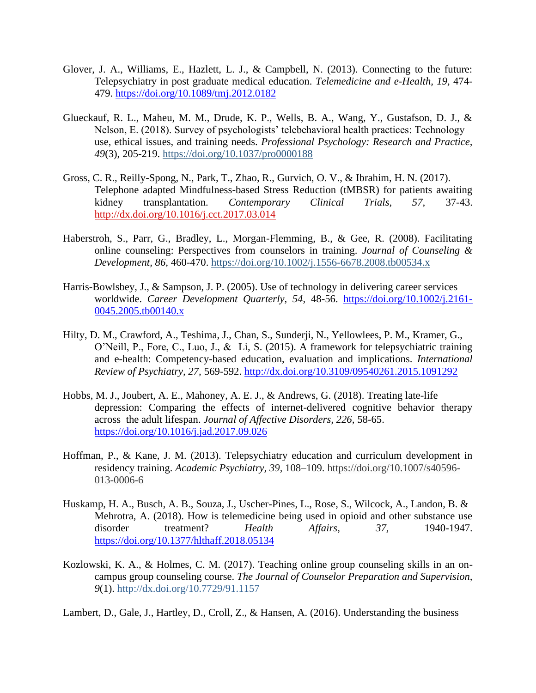- Glover, J. A., Williams, E., Hazlett, L. J., & Campbell, N. (2013). Connecting to the future: Telepsychiatry in post graduate medical education. *Telemedicine and e-Health, 19,* 474- 479.<https://doi.org/10.1089/tmj.2012.0182>
- Glueckauf, R. L., Maheu, M. M., Drude, K. P., Wells, B. A., Wang, Y., Gustafson, D. J., & Nelson, E. (2018). Survey of psychologists' telebehavioral health practices: Technology use, ethical issues, and training needs. *Professional Psychology: Research and Practice, 49*(3), 205-219. [https://doi.org/10.1037/pro0000188](https://psycnet.apa.org/doi/10.1037/pro0000188)
- Gross, C. R., Reilly-Spong, N., Park, T., Zhao, R., Gurvich, O. V., & Ibrahim, H. N. (2017). Telephone adapted Mindfulness-based Stress Reduction (tMBSR) for patients awaiting kidney transplantation. *Contemporary Clinical Trials, 57,* 37-43. <http://dx.doi.org/10.1016/j.cct.2017.03.014>
- Haberstroh, S., Parr, G., Bradley, L., Morgan-Flemming, B., & Gee, R. (2008). Facilitating online counseling: Perspectives from counselors in training. *Journal of Counseling & Development, 86,* 460-470. [https://doi.org/10.1002/j.1556-6678.2008.tb00534.x](https://psycnet.apa.org/doi/10.1002/j.1556-6678.2008.tb00534.x)
- Harris-Bowlsbey, J., & Sampson, J. P. (2005). Use of technology in delivering career services worldwide. *Career Development Quarterly, 54,* 48-56. [https://doi.org/10.1002/j.2161-](https://doi.org/10.1002/j.2161-0045.2005.tb00140.x) [0045.2005.tb00140.x](https://doi.org/10.1002/j.2161-0045.2005.tb00140.x)
- Hilty, D. M., Crawford, A., Teshima, J., Chan, S., Sunderji, N., Yellowlees, P. M., Kramer, G., O'Neill, P., Fore, C., Luo, J., & Li, S. (2015). A framework for telepsychiatric training and e-health: Competency-based education, evaluation and implications. *International Review of Psychiatry, 27,* 569-592.<http://dx.doi.org/10.3109/09540261.2015.1091292>
- Hobbs, M. J., Joubert, A. E., Mahoney, A. E. J., & Andrews, G. (2018). Treating late-life depression: Comparing the effects of internet-delivered cognitive behavior therapy across the adult lifespan. *Journal of Affective Disorders, 226,* 58-65. <https://doi.org/10.1016/j.jad.2017.09.026>
- Hoffman, P., & Kane, J. M. (2013). Telepsychiatry education and curriculum development in residency training. *Academic Psychiatry, 39,* 108–109. https://doi.org/10.1007/s40596- 013-0006-6
- Huskamp, H. A., Busch, A. B., Souza, J., Uscher-Pines, L., Rose, S., Wilcock, A., Landon, B. & Mehrotra, A. (2018). How is telemedicine being used in opioid and other substance use disorder treatment? *Health Affairs, 37,* 1940-1947. <https://doi.org/10.1377/hlthaff.2018.05134>
- Kozlowski, K. A., & Holmes, C. M. (2017). Teaching online group counseling skills in an oncampus group counseling course. *The Journal of Counselor Preparation and Supervision, 9*(1). http://dx.doi.org/10.7729/91.1157

Lambert, D., Gale, J., Hartley, D., Croll, Z., & Hansen, A. (2016). Understanding the business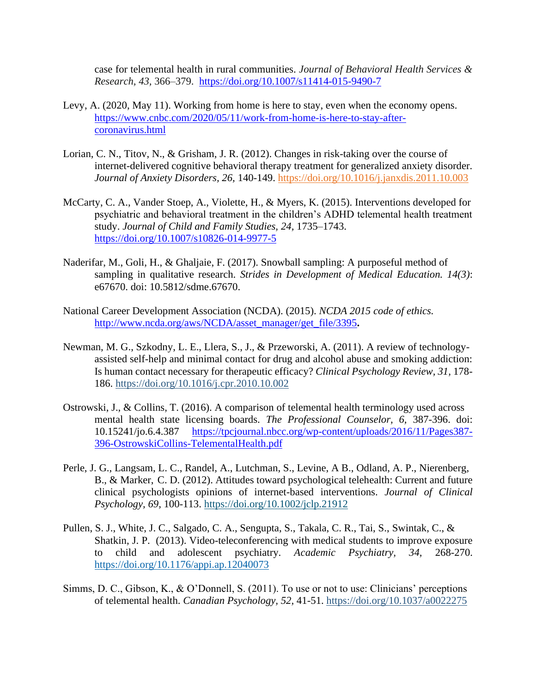case for telemental health in rural communities. *Journal of Behavioral Health Services & Research, 43,* 366–379. <https://doi.org/10.1007/s11414-015-9490-7>

- Levy, A. (2020, May 11). Working from home is here to stay, even when the economy opens. [https://www.cnbc.com/2020/05/11/work-from-home-is-here-to-stay-after](https://www.cnbc.com/2020/05/11/work-from-home-is-here-to-stay-after-coronavirus.html)[coronavirus.html](https://www.cnbc.com/2020/05/11/work-from-home-is-here-to-stay-after-coronavirus.html)
- Lorian, C. N., Titov, N., & Grisham, J. R. (2012). Changes in risk-taking over the course of internet-delivered cognitive behavioral therapy treatment for generalized anxiety disorder. *Journal of Anxiety Disorders, 26,* 140-149.<https://doi.org/10.1016/j.janxdis.2011.10.003>
- McCarty, C. A., Vander Stoep, A., Violette, H., & Myers, K. (2015). Interventions developed for psychiatric and behavioral treatment in the children's ADHD telemental health treatment study. *Journal of Child and Family Studies, 24,* 1735–1743. <https://doi.org/10.1007/s10826-014-9977-5>
- Naderifar, M., Goli, H., & Ghaljaie, F. (2017). Snowball sampling: A purposeful method of sampling in qualitative research. *Strides in Development of Medical Education. 14(3)*: e67670. doi: 10.5812/sdme.67670.
- National Career Development Association (NCDA). (2015). *NCDA 2015 code of ethics.* [http://www.ncda.org/aws/NCDA/asset\\_manager/get\\_file/3395](http://www.ncda.org/aws/NCDA/asset_manager/get_file/3395)**.**
- Newman, M. G., Szkodny, L. E., Llera, S., J., & Przeworski, A. (2011). A review of technologyassisted self-help and minimal contact for drug and alcohol abuse and smoking addiction: Is human contact necessary for therapeutic efficacy? *Clinical Psychology Review, 31,* 178- 186. [https://doi.org/10.1016/j.cpr.2010.10.002](https://psycnet.apa.org/doi/10.1016/j.cpr.2010.10.002)
- Ostrowski, J., & Collins, T. (2016). A comparison of telemental health terminology used across mental health state licensing boards. *The Professional Counselor, 6,* 387-396. doi: 10.15241/jo.6.4.387 [https://tpcjournal.nbcc.org/wp-content/uploads/2016/11/Pages387-](https://tpcjournal.nbcc.org/wp-content/uploads/2016/11/Pages387-396-OstrowskiCollins-TelementalHealth.pdf) [396-OstrowskiCollins-TelementalHealth.pdf](https://tpcjournal.nbcc.org/wp-content/uploads/2016/11/Pages387-396-OstrowskiCollins-TelementalHealth.pdf)
- Perle, J. G., Langsam, L. C., Randel, A., Lutchman, S., Levine, A B., Odland, A. P., Nierenberg, B., & Marker, C. D. (2012). Attitudes toward psychological telehealth: Current and future clinical psychologists opinions of internet-based interventions. *Journal of Clinical Psychology, 69,* 100-113.<https://doi.org/10.1002/jclp.21912>
- Pullen, S. J., White, J. C., Salgado, C. A., Sengupta, S., Takala, C. R., Tai, S., Swintak, C., & Shatkin, J. P. (2013). Video-teleconferencing with medical students to improve exposure to child and adolescent psychiatry. *Academic Psychiatry, 34,* 268-270. <https://doi.org/10.1176/appi.ap.12040073>
- Simms, D. C., Gibson, K., & O'Donnell, S. (2011). To use or not to use: Clinicians' perceptions of telemental health. *Canadian Psychology, 52,* 41-51. [https://doi.org/10.1037/a0022275](https://psycnet.apa.org/doi/10.1037/a0022275)